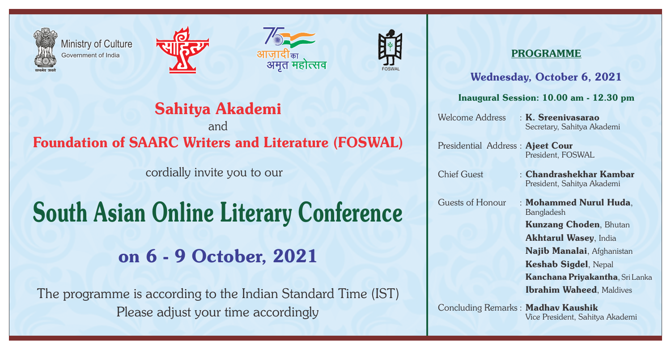

Ministry of Culture Government of India







## Sahitya Akademi

and Foundation of SAARC Writers and Literature (FOSWAL)

cordially invite you to our

# South Asian Online Literary Conference

on 6 - 9 October, 2021

 The programme is according to the Indian Standard Time (IST) Please adjust your time accordingly

#### PROGRAMME

#### Wednesday, October 6, 2021

#### Inaugural Session: 10.00 am - 12.30 pm

Secretary, Sahitya Akademi Welcome Address . K. Sreenivasarao

President, FOSWAL Presidential Address : Ajeet Cour

Chief Guest : Chandrashekhar Kambar President, Sahitya Akademi

Kunzang Choden, Bhutan Bangladesh Guests of Honour : Mohammed Nurul Huda,

Akhtarul Wasey, India

Najib Manalai, Afghanistan

Keshab Sigdel, Nepal

Ibrahim Waheed, Maldives Kanchana Priyakantha, Sri Lanka

Concluding Remarks : Madhav Kaushik Vice President, Sahitya Akademi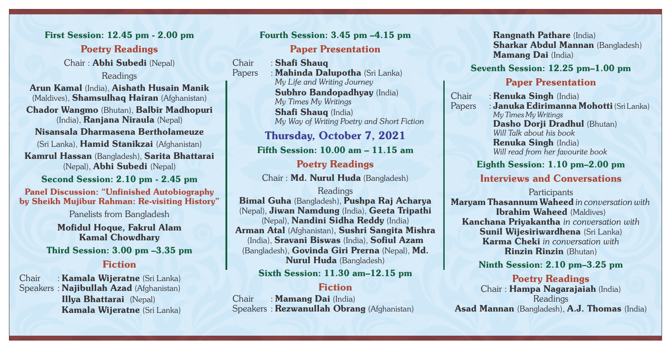Poetry Readings Chair : Abhi Subedi (Nepal) Readings First Session: 12.45 pm - 2.00 pm

Chador Wangmo (Bhutan), Balbir Madhopuri (India), Ranjana Niraula (Nepal) Arun Kamal (India), Aishath Husain Manik (Maldives), Shamsulhaq Hairan (Afghanistan)

Nisansala Dharmasena Bertholameuze

Kamrul Hassan (Bangladesh), Sarita Bhattarai (Nepal), Abhi Subedi (Nepal) (Sri Lanka), Hamid Stanikzai (Afghanistan)

Second Session: 2.10 pm - 2.45 pm

Panel Discussion: "Unfinished Autobiography by Sheikh Mujibur Rahman: Re-visiting History"

Panelists from Bangladesh

Mofidul Hoque, Fakrul Alam Fiction Kamal Chowdhary Third Session: 3.00 pm –3.35 pm

### Chair : Kamala Wijeratne (Sri Lanka)

Speakers : Najibullah Azad (Afghanistan) Kamala Wijeratne (Sri Lanka) Illya Bhattarai (Nepal)

## Fourth Session: 3.45 pm –4.15 pm

#### Paper Presentation

Chair : Shafi Shauq

Subhro Bandopadhyay (India) Papers : Mahinda Dalupotha (Sri Lanka) *My Life and Writing Journey My Times My Writings* Shafi Shauq (India) *My Way of Writing Poetry and Short Fiction*

Thursday, October 7, 2021

Fifth Session: 10.00 am – 11.15 am

Poetry Readings Chair : Md. Nurul Huda (Bangladesh)

#### Readings Bimal Guha (Bangladesh), Pushpa Raj Acharya (Nepal), Jiwan Namdung (India), Geeta Tripathi (Nepal), Nandini Sidha Reddy (India) Arman Atal (Afghanistan), Sushri Sangita Mishra (India), Sravani Biswas (India), Sofiul Azam (Bangladesh), Govinda Giri Prerna (Nepal), Md. Nurul Huda (Bangladesh)

#### Sixth Session: 11.30 am–12.15 pm

#### Fiction

Chair : Mamang Dai (India) Speakers : Rezwanullah Obrang (Afghanistan) Mamang Dai (India) Rangnath Pathare (India) Sharkar Abdul Mannan (Bangladesh)

#### Seventh Session: 12.25 pm–1.00 pm

#### Paper Presentation

Papers : Januka Edirimanna Mohotti (Sri Lanka) *Will Talk about his book My Times My Writings* Chair : Renuka Singh (India) Dasho Dorji Dradhul (Bhutan) *Will read from her favourite book* Renuka Singh (India)

#### Eighth Session: 1.10 pm–2.00 pm

#### Interviews and Conversations

**Participants** 

Maryam Thasannum Waheed *in conversation with*  Ibrahim Waheed (Maldives) Kanchana Priyakantha *in conversation with*  Sunil Wijesiriwardhena (Sri Lanka) Karma Cheki *in conversation with* Rinzin Rinzin (Bhutan)

Ninth Session: 2.10 pm–3.25 pm

#### Poetry Readings Readings Chair : Hampa Nagarajaiah (India) Asad Mannan (Bangladesh), A.J. Thomas (India)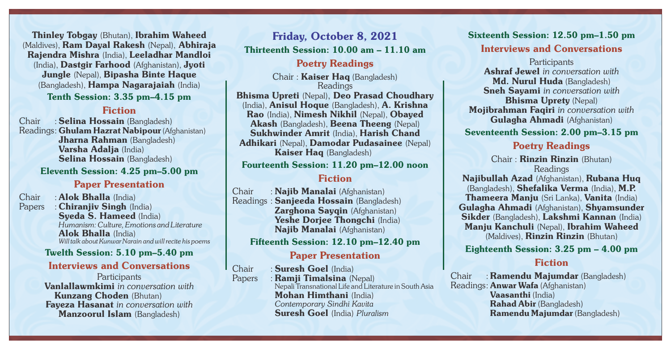Thinley Tobgay (Bhutan), Ibrahim Waheed Friday, October 8, 2021 (Maldives), Ram Dayal Rakesh (Nepal), Abhiraja Rajendra Mishra (India), Leeladhar Mandloi (India), Dastgir Farhood (Afghanistan), Jyoti Jungle (Nepal), Bipasha Binte Haque (Bangladesh), Hampa Nagarajaiah (India) Tenth Session: 3.35 pm–4.15 pm

#### Fiction

Chair : Selina Hossain (Bangladesh) Readings: Ghulam Hazrat Nabipour (Afghanistan) Jharna Rahman (Bangladesh) Varsha Adalja (India) Selina Hossain (Bangladesh)

Eleventh Session: 4.25 pm–5.00 pm

#### Paper Presentation

Papers : Chiranjiv Singh (India) Alok Bhalla (India) *Will talk about Kunwar Narain and will recite his poems* Syeda S. Hameed (India) Chair : **Alok Bhalla** (India) *Humanism: Culture, Emotions and Literature*

#### Twelth Session: 5.10 pm–5.40 pm

#### Interviews and Conversations

**Participants** Vanlallawmkimi *in conversation with* Fayeza Hasanat *in conversation with* Manzoorul Islam (Bangladesh) Kunzang Choden (Bhutan)

Thirteenth Session: 10.00 am – 11.10 am

#### Poetry Readings

Kaiser Hag (Bangladesh) Chair : Kaiser Haq (Bangladesh) Readings Bhisma Upreti (Nepal), Deo Prasad Choudhary (India), Anisul Hoque (Bangladesh), A. Krishna Rao (India), Nimesh Nikhil (Nepal), Obayed Akash (Bangladesh), Beena Theeng (Nepal) Sukhwinder Amrit (India), Harish Chand Adhikari (Nepal), Damodar Pudasainee (Nepal)

#### Fourteenth Session: 11.20 pm–12.00 noon

#### Fiction

Readings : Sanjeeda Hossain (Bangladesh) Zarghona Sayqin (Afghanistan) Yeshe Dorjee Thongchi (India) Naiib Manalai (Afghanistan) Chair : Naiib Manalai (Afghanistan)

Fifteenth Session: 12.10 pm–12.40 pm

#### Paper Presentation

*Contemporary Sindhi Kavita* Chair : Suresh Goel (India) Papers : Ramii Timalsina (Nepal) Nepali Transnational Life and Literature in South Asia Mohan Himthani (India) Suresh Goel (India) *Pluralism*

Interviews and Conversations Sixteenth Session: 12.50 pm–1.50 pm

Sneh Sayami *in conversation with* **Participants** Mojibrahman Faqiri *in conversation with* Md. Nurul Huda (Bangladesh) Gulagha Ahmadi (Afghanistan) Ashraf Jewel *in conversation with* Bhisma Uprety (Nepal)

#### Seventeenth Session: 2.00 pm–3.15 pm

#### Poetry Readings

Chair : Rinzin Rinzin (Bhutan) Najibullah Azad (Afghanistan), Rubana Huq (Bangladesh), Shefalika Verma (India), M.P. Thameera Manju (Sri Lanka), Vanita (India) Gulagha Ahmadi (Afghanistan), Shyamsunder Sikder (Bangladesh), Lakshmi Kannan (India) Manju Kanchuli (Nepal), Ibrahim Waheed (Maldives), Rinzin Rinzin (Bhutan) Readings

Eighteenth Session: 3.25 pm – 4.00 pm

#### Fiction

Readings: **Anwar Wafa** (Afghanistan) Chair : Ramendu Majumdar (Bangladesh) Vaasanthi (India) Ramendu Majumdar (Bangladesh) Rahad Abir (Bangladesh)